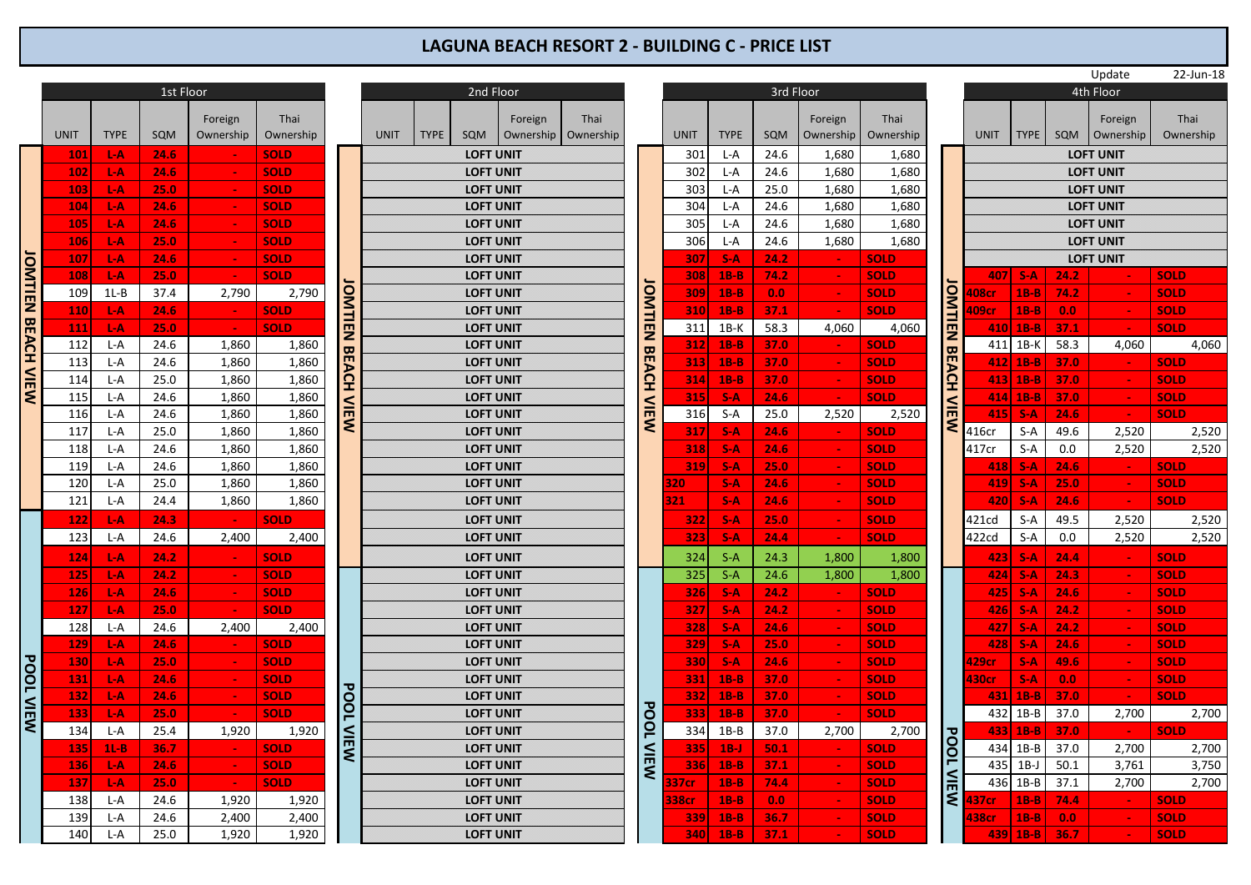## **LAGUNA BEACH RESORT 2 - BUILDING C - PRICE LIST**

|                           |                |              | 1st Floor |                      |                   |                   |             |             | 2nd Floor        |                      |
|---------------------------|----------------|--------------|-----------|----------------------|-------------------|-------------------|-------------|-------------|------------------|----------------------|
|                           | <b>UNIT</b>    | <b>TYPE</b>  | SQM       | Foreign<br>Ownership | Thai<br>Ownership |                   | <b>UNIT</b> | <b>TYPE</b> | SQM              | F <sub>o</sub><br>Ow |
|                           | 101            | L-A          | 24.6      |                      | <b>SOLD</b>       |                   |             |             | <b>LOFT UNIT</b> |                      |
|                           | 102            | L-A          | 24.6      | ٠                    | <b>SOLD</b>       |                   |             |             | <b>LOFT UNIT</b> |                      |
|                           | 103            | L-A          | 25.0      |                      | <b>SOLD</b>       |                   |             |             | <b>LOFT UNIT</b> |                      |
|                           | 104            | L-A          | 24.6      |                      | <b>SOLD</b>       |                   |             |             | <b>LOFT UNIT</b> |                      |
|                           | 105            | L-A          | 24.6      |                      | <b>SOLD</b>       |                   |             |             | <b>LOFT UNIT</b> |                      |
|                           | 106            | L-A          | 25.0      |                      | <b>SOLD</b>       |                   |             |             | <b>LOFT UNIT</b> |                      |
| <b>JOMTIEN BEACH VIEW</b> | 107            | L-A          | 24.6      |                      | <b>SOLD</b>       |                   |             |             | <b>LOFT UNIT</b> |                      |
|                           | 108            | <b>LA</b>    | 25.0      |                      | <b>SOLD</b>       |                   |             |             | <b>LOFT UNIT</b> |                      |
|                           | 109            | $1L-B$       | 37.4      | 2,790                | 2,790             | OMTIEN BEACH VIEW |             |             | <b>LOFT UNIT</b> |                      |
|                           | 110            | $L-A$        | 24.6      | $\blacksquare$       | <b>SOLD</b>       |                   |             |             | <b>LOFT UNIT</b> |                      |
|                           | 111            | L-A          | 25.0      |                      | <b>SOLD</b>       |                   |             |             | <b>LOFT UNIT</b> |                      |
|                           | 112            | L-A          | 24.6      | 1,860                | 1,860             |                   |             |             | <b>LOFT UNIT</b> |                      |
|                           | 113            | L-A          | 24.6      | 1,860                | 1,860             |                   |             |             | <b>LOFT UNIT</b> |                      |
|                           | 114            | L-A          | 25.0      | 1,860                | 1,860             |                   |             |             | <b>LOFT UNIT</b> |                      |
|                           | 115            | L-A          | 24.6      | 1,860                | 1,860             |                   |             |             | <b>LOFT UNIT</b> |                      |
|                           | 116            | L-A          | 24.6      | 1,860                | 1,860             |                   |             |             | <b>LOFT UNIT</b> |                      |
|                           | 117            | L-A          | 25.0      | 1,860                | 1,860             |                   |             |             | <b>LOFT UNIT</b> |                      |
|                           | 118            | L-A          | 24.6      | 1,860                | 1,860             |                   |             |             | <b>LOFT UNIT</b> |                      |
|                           | 119            | L-A          | 24.6      | 1,860                | 1,860             |                   |             |             | <b>LOFT UNIT</b> |                      |
|                           | 120            | L-A          | 25.0      | 1,860                | 1,860             |                   |             |             | <b>LOFT UNIT</b> |                      |
|                           | 121            | L-A          | 24.4      | 1,860                | 1,860             |                   |             |             | <b>LOFT UNIT</b> |                      |
|                           | 122            | L-A          | 24.3      | $\bullet$            | <b>SOLD</b>       |                   |             |             | <b>LOFT UNIT</b> |                      |
|                           | 123            | L-A          | 24.6      | 2,400                | 2,400             |                   |             |             | <b>LOFT UNIT</b> |                      |
|                           | 124            | $L-A$        | 24.2      | ٠                    | <b>SOLD</b>       |                   |             |             | <b>LOFT UNIT</b> |                      |
|                           | 125            | L-A          | 24.2      |                      | <b>SOLD</b>       |                   |             |             | <b>LOFT UNIT</b> |                      |
|                           | 126            | $L-A$        | 24.6      |                      | <b>SOLD</b>       |                   |             |             | <b>LOFT UNIT</b> |                      |
|                           | 127            | L-A          | 25.0      |                      | <b>SOLD</b>       |                   |             |             | <b>LOFT UNIT</b> |                      |
|                           | 128            | L-A          | 24.6      | 2,400                | 2,400             |                   |             |             | <b>LOFT UNIT</b> |                      |
|                           | 129            | L-A          | 24.6      |                      | <b>SOLD</b>       |                   |             |             | <b>LOFT UNIT</b> |                      |
|                           | 130            | L-A          | 25.0      |                      | <b>SOLD</b>       |                   |             |             | <b>LOFT UNIT</b> |                      |
|                           | 131            | L-A          | 24.6      |                      | <b>SOLD</b>       |                   |             |             | <b>LOFT UNIT</b> |                      |
| <b>POOL VIEW</b>          | 132            | L-A          | 24.6      | ۳                    | <b>SOLD</b>       |                   |             |             | <b>LOFT UNIT</b> |                      |
|                           | 133            | $L-A$        | 25.0      |                      | <b>SOLD</b>       |                   |             |             | <b>LOFT UNIT</b> |                      |
|                           | 134            | L-A          | 25.4      | 1,920                | 1,920             |                   |             |             | <b>LOFT UNIT</b> |                      |
|                           | 135            | $1L-B$       | 36.7      | $\sim$               | <b>SOLD</b>       | <b>POOLVIEW</b>   |             |             | <b>LOFT UNIT</b> |                      |
|                           | 136            | L-A          | 24.6      |                      | <b>SOLD</b>       |                   |             |             | <b>LOFT UNIT</b> |                      |
|                           | 137            | L-A          | 25.0      | $\blacksquare$       | <b>SOLD</b>       |                   |             |             | <b>LOFT UNIT</b> |                      |
|                           | 138            | L-A          | 24.6      | 1,920                | 1,920             |                   |             |             | <b>LOFT UNIT</b> |                      |
|                           | 139            | L-A          | 24.6      | 2,400                | 2,400             |                   |             |             | <b>LOFT UNIT</b> |                      |
|                           | $\overline{a}$ | $\mathbf{r}$ | $2 - 2$   | 1022                 | 1022              |                   |             |             |                  |                      |

|     |             |           |                      |                   |              |             |             |                  |                                  |      |               |             |             |      |                            |                   |             |              |              |           | opuate               | 24                  |
|-----|-------------|-----------|----------------------|-------------------|--------------|-------------|-------------|------------------|----------------------------------|------|---------------|-------------|-------------|------|----------------------------|-------------------|-------------|--------------|--------------|-----------|----------------------|---------------------|
|     |             | 1st Floor |                      |                   |              |             |             | 2nd Floor        |                                  |      | 3rd Floor     |             |             |      |                            |                   |             |              |              | 4th Floor |                      |                     |
| IT. | <b>TYPE</b> | SQM       | Foreign<br>Ownership | Thai<br>Ownership |              | <b>UNIT</b> | <b>TYPE</b> | SQM              | Foreign<br>Ownership   Ownership | Thai |               | <b>UNIT</b> | <b>TYPE</b> | SQM  | Foreign<br>Ownership       | Thai<br>Ownership |             | <b>UNIT</b>  | <b>TYPE</b>  | SQM       | Foreign<br>Ownership | $\mathsf{T}$<br>Own |
| 101 | L-A         | 24.6      |                      | <b>SOLD</b>       |              |             |             | <b>LOFT UNIT</b> |                                  |      |               | 301         | L-A         | 24.6 | 1,680                      | 1,680             |             |              |              |           | <b>LOFT UNIT</b>     |                     |
| 102 | L-A         | 24.6      | $\sim$               | <b>SOLD</b>       |              |             |             | <b>LOFT UNIT</b> |                                  |      |               | 302         | L-A         | 24.6 | 1,680                      | 1,680             |             |              |              |           | <b>LOFT UNIT</b>     |                     |
| 103 | L-A         | 25.0      |                      | <b>SOLD</b>       |              |             |             | <b>LOFT UNIT</b> |                                  |      |               | 303         | L-A         | 25.0 | 1,680                      | 1,680             |             |              |              |           | <b>LOFT UNIT</b>     |                     |
| 104 | L-A         | 24.6      | $\sim$               | <b>SOLD</b>       |              |             |             | <b>LOFT UNIT</b> |                                  |      |               | 304         | L-A         | 24.6 | 1,680                      | 1,680             |             |              |              |           | <b>LOFT UNIT</b>     |                     |
| 105 | L-A         | 24.6      | $\sim$               | <b>SOLD</b>       |              |             |             | <b>LOFT UNIT</b> |                                  |      |               | 305         | L-A         | 24.6 | 1,680                      | 1,680             |             |              |              |           | <b>LOFT UNIT</b>     |                     |
| 106 | L-A         | 25.0      | $\sim$               | <b>SOLD</b>       |              |             |             | <b>LOFT UNIT</b> |                                  |      |               | 306         | L-A         | 24.6 | 1,680                      | 1,680             |             |              |              |           | <b>LOFT UNIT</b>     |                     |
| 107 | L-A         | 24.6      |                      | <b>SOLD</b>       |              |             |             | <b>LOFT UNIT</b> |                                  |      |               | 307         | $S-A$       | 24.2 |                            | <b>SOLD</b>       |             |              |              |           | <b>LOFT UNIT</b>     |                     |
| 108 | $L-A$       | 25.0      |                      | <b>SOLD</b>       |              |             |             | <b>LOFT UNIT</b> |                                  |      |               | 308         | $1B-B$      | 74.2 | $\sim$                     | <b>SOLD</b>       |             | 407          | $S-A$        | 24.2      |                      | <b>SOLD</b>         |
| 109 | $1L-B$      | 37.4      | 2,790                | 2,790             |              |             |             | <b>LOFT UNIT</b> |                                  |      |               | 309         | $1B-B$      | 0.0  | $\sim$                     | <b>SOLD</b>       |             | 108cr        | $1B-B$       | 74.2      |                      | <b>SOLD</b>         |
| 110 | L-A         | 24.6      | $\sim$               | <b>SOLD</b>       |              |             |             | <b>LOFT UNIT</b> |                                  |      |               | 310         | $1B-B$      | 37.1 | $\sim$                     | <b>SOLD</b>       |             | 109cr        | $1B-B$       | 0.0       |                      | <b>SOLD</b>         |
| 111 | L-A         | 25.0      | $\sim$               | <b>SOLD</b>       | OMTIEN       |             |             | <b>LOFT UNIT</b> |                                  |      | <b>OMTIEN</b> | 311         | $1B-K$      | 58.3 | 4.060                      | 4,060             | OMTIEN      |              | $410$   1B-B | 37.1      | $\sim$               | <b>SOLD</b>         |
| 112 | L-A         | 24.6      | 1,860                | 1,860             |              |             |             | <b>LOFT UNIT</b> |                                  |      |               | 312         | $1B-B$      | 37.0 |                            | <b>SOLD</b>       |             | 411          | $1B-K$       | 58.3      | 4,060                |                     |
| 113 | L-A         | 24.6      | 1,860                | 1,860             | <b>BEACH</b> |             |             | <b>LOFT UNIT</b> |                                  |      | 꼮             | 313         | $1B-B$      | 37.0 |                            | <b>SOLD</b>       | 昂           |              | $412$ 1B-B   | 37.0      |                      | <b>SOLD</b>         |
| 114 | L-A         | 25.0      | 1,860                | 1,860             |              |             |             | <b>LOFT UNIT</b> |                                  |      | АCH           | 314         | $1B-B$      | 37.0 | $\mathcal{L}_{\mathbf{r}}$ | <b>SOLD</b>       | <b>ACH</b>  |              | $413$ 1B-B   | 37.0      | $\sim$               | <b>SOLD</b>         |
| 115 | L-A         | 24.6      | 1,860                | 1,860             |              |             |             | <b>LOFT UNIT</b> |                                  |      |               | 315         | $S-A$       | 24.6 | $\sim$                     | <b>SOLD</b>       |             |              | $414$ 1B-B   | 37.0      | $\sim$               | <b>SOLD</b>         |
| 116 | L-A         | 24.6      | 1,860                | 1,860             | VIEW         |             |             | <b>LOFT UNIT</b> |                                  |      | NEW           | 316         | $S-A$       | 25.0 | 2,520                      | 2,520             | <b>VIEW</b> | 415          | $S-A$        | 24.6      | <b>Section</b>       | <b>SOLD</b>         |
| 117 | L-A         | 25.0      | 1,860                | 1,860             |              |             |             | <b>LOFT UNIT</b> |                                  |      |               | 317         | $S-A$       | 24.6 |                            | <b>SOLD</b>       |             | 416cr        | $S-A$        | 49.6      | 2,520                |                     |
| 118 | L-A         | 24.6      | 1,860                | 1,860             |              |             |             | <b>LOFT UNIT</b> |                                  |      |               | 318         | $S-A$       | 24.6 | $\sim$                     | <b>SOLD</b>       |             | 417cr        | $S-A$        | 0.0       | 2,520                |                     |
| 119 | L-A         | 24.6      | 1,860                | 1,860             |              |             |             | <b>LOFT UNIT</b> |                                  |      |               | 319         | $S-A$       | 25.0 |                            | <b>SOLD</b>       |             | 418          | $S-A$        | 24.6      |                      | <b>SOLD</b>         |
| 120 | L-A         | 25.0      | 1,860                | 1,860             |              |             |             | <b>LOFT UNIT</b> |                                  |      |               | 20          | $S-A$       | 24.6 |                            | <b>SOLD</b>       |             | 419          | $S-A$        | 25.0      |                      | <b>SOLD</b>         |
| 121 | L-A         | 24.4      | 1,860                | 1,860             |              |             |             | <b>LOFT UNIT</b> |                                  |      |               | 321         | $S-A$       | 24.6 | $\sim$                     | <b>SOLD</b>       |             | 420          | $S-A$        | 24.6      | $\sim$               | <b>SOLD</b>         |
| 122 | $L-A$       | 24.3      |                      | <b>SOLD</b>       |              |             |             | <b>LOFT UNIT</b> |                                  |      |               | 322         | $S-A$       | 25.0 | $\sim$                     | <b>SOLD</b>       |             | 421cd        | $S-A$        | 49.5      | 2,520                |                     |
| 123 | L-A         | 24.6      | 2,400                | 2,400             |              |             |             | <b>LOFT UNIT</b> |                                  |      |               | 323         | $S-A$       | 24.4 |                            | <b>SOLD</b>       |             | 422cd        | $S-A$        | 0.0       | 2,520                |                     |
| 124 | L-A         | 24.2      |                      | <b>SOLD</b>       |              |             |             | <b>LOFT UNIT</b> |                                  |      |               | 324         | $S-A$       | 24.3 | 1,800                      | 1,800             |             | 423          | $S-A$        | 24.4      |                      | <b>SOLD</b>         |
| 125 | L-A         | 24.2      |                      | <b>SOLD</b>       |              |             |             | <b>LOFT UNIT</b> |                                  |      |               | 325         | $S-A$       | 24.6 | 1,800                      | 1,800             |             | 424          | $S-A$        | 24.3      |                      | <b>SOLD</b>         |
| 126 | L-A         | 24.6      | $\sim$ $\sim$        | <b>SOLD</b>       |              |             |             | <b>LOFT UNIT</b> |                                  |      |               | 326         | $S-A$       | 24.2 | $\sim$                     | <b>SOLD</b>       |             | 425          | $S-A$        | 24.6      | $\sim$               | <b>SOLD</b>         |
| 127 | L-A         | 25.0      | $\sim$               | <b>SOLD</b>       |              |             |             | <b>LOFT UNIT</b> |                                  |      |               | 327         | $S-A$       | 24.2 |                            | <b>SOLD</b>       |             | 4261         | $S-A$        | 24.2      |                      | <b>SOLD</b>         |
| 128 | L-A         | 24.6      | 2,400                | 2,400             |              |             |             | <b>LOFT UNIT</b> |                                  |      |               | 328         | $S-A$       | 24.6 |                            | <b>SOLD</b>       |             | 427          | $S-A$        | 24.2      |                      | <b>SOLD</b>         |
| 129 | $L-A$       | 24.6      |                      | <b>SOLD</b>       |              |             |             | <b>LOFT UNIT</b> |                                  |      |               | 329         | $S-A$       | 25.0 | $\sim$                     | <b>SOLD</b>       |             | 428          | $S-A$        | 24.6      | $\sim$               | <b>SOLD</b>         |
| 130 | L-A         | 25.0      | $\sim$               | <b>SOLD</b>       |              |             |             | <b>LOFT UNIT</b> |                                  |      |               | 330         | $S-A$       | 24.6 |                            | <b>SOLD</b>       |             | 129cr        | $S-A$        | 49.6      |                      | <b>SOLD</b>         |
| 131 | L-A         | 24.6      |                      | <b>SOLD</b>       |              |             |             | <b>LOFT UNIT</b> |                                  |      |               | 331         | $1B-B$      | 37.0 |                            | <b>SOLD</b>       |             | 130cr        | $S-A$        | 0.0       |                      | <b>SOLD</b>         |
| 132 | L-A         | 24.6      | $\mathbf{u}$         | <b>SOLD</b>       | <b>POOL</b>  |             |             | <b>LOFT UNIT</b> |                                  |      |               | 332         | $1B-B$      | 37.0 | $\blacksquare$             | <b>SOLD</b>       |             | 431          | $1B-B$       | 37.0      | $\sim$               | <b>SOLD</b>         |
| 133 | L-A         | 25.0      | $\sim$               | <b>SOLD</b>       |              |             |             | <b>LOFT UNIT</b> |                                  |      | <b>POOL</b>   | 333         | $1B-B$      | 37.0 |                            | <b>SOLD</b>       |             | 432          | $1B-B$       | 37.0      | 2,700                |                     |
| 134 | L-A         | 25.4      | 1,920                | 1,920             |              |             |             | <b>LOFT UNIT</b> |                                  |      |               | 334         | $1B-B$      | 37.0 | 2,700                      | 2,700             |             |              | $433$ 1B-B   | 37.0      |                      | <b>SOLD</b>         |
| 135 | $1L-B$      | 36.7      |                      | <b>SOLD</b>       | <b>NIEW</b>  |             |             | <b>LOFT UNIT</b> |                                  |      | <             | 335         | $1B-J$      | 50.1 |                            | <b>SOLD</b>       | <b>POOL</b> |              | 434 1B-B     | 37.0      | 2,700                |                     |
| 136 | L-A         | 24.6      | $\sim$               | <b>SOLD</b>       |              |             |             | <b>LOFT UNIT</b> |                                  |      | <b>IEV</b>    | 336         | $1B-B$      | 37.1 | $\sim$                     | <b>SOLD</b>       |             | 435          | $1B-J$       | 50.1      | 3,761                |                     |
| 137 | L-A         | 25.0      | $\sim$               | <b>SOLD</b>       |              |             |             | <b>LOFT UNIT</b> |                                  |      |               | 37cr        | $1B-B$      | 74.4 |                            | <b>SOLD</b>       | <b>NEW</b>  | 436          | $1B-B$       | 37.1      | 2,700                |                     |
| 138 | L-A         | 24.6      | 1,920                | 1,920             |              |             |             | <b>LOFT UNIT</b> |                                  |      |               | 38cr        | $1B-B$      | 0.0  |                            | <b>SOLD</b>       |             | 137cr        | $1B-B$       | 74.4      |                      | <b>SOLD</b>         |
| 139 | L-A         | 24.6      | 2,400                | 2,400             |              |             |             | <b>LOFT UNIT</b> |                                  |      |               | 339         | $1B-B$      | 36.7 | $\sim$                     | <b>SOLD</b>       |             | <b>138cr</b> | $1B-B$       | 0.0       | $\sim$               | <b>SOLD</b>         |
| 140 | L-A         | 25.0      | 1,920                | 1,920             |              |             |             | <b>LOFT UNIT</b> |                                  |      |               | 340         | $1B-B$      | 37.1 |                            | <b>SOLD</b>       |             |              | 439 1B-B     | 36.7      |                      | <b>SOLD</b>         |

|     |             |           |                |             |               |             |             |                  |         |                       |               |             |             |      |            |             |             |              |             |      | opuate           | 24           |
|-----|-------------|-----------|----------------|-------------|---------------|-------------|-------------|------------------|---------|-----------------------|---------------|-------------|-------------|------|------------|-------------|-------------|--------------|-------------|------|------------------|--------------|
|     |             | 1st Floor |                |             |               |             |             | 2nd Floor        |         |                       | 3rd Floor     |             |             |      |            |             |             |              |             |      | 4th Floor        |              |
|     |             |           | Foreign        | Thai        |               |             |             |                  | Foreign | Thai                  |               |             |             |      | Foreign    | Thai        |             |              |             |      | Foreign          | $\mathsf{T}$ |
| IT. | <b>TYPE</b> | SQM       | Ownership      | Ownership   |               | <b>UNIT</b> | <b>TYPE</b> | SQM              |         | Ownership   Ownership |               | <b>UNIT</b> | <b>TYPE</b> | SQM  | Ownership  | Ownership   |             | <b>UNIT</b>  | <b>TYPE</b> | SQM  | Ownership        | Own          |
| 101 | L-A         | 24.6      |                | <b>SOLD</b> |               |             |             | <b>LOFT UNIT</b> |         |                       |               | 301         | L-A         | 24.6 | 1,680      | 1,680       |             |              |             |      | <b>LOFT UNIT</b> |              |
| 102 | L-A         | 24.6      | $\sim$         | <b>SOLD</b> |               |             |             | <b>LOFT UNIT</b> |         |                       |               | 302         | $L-A$       | 24.6 | 1,680      | 1,680       |             |              |             |      | <b>LOFT UNIT</b> |              |
| 103 | L-A         | 25.0      |                | <b>SOLD</b> |               |             |             | <b>LOFT UNIT</b> |         |                       |               | 303         | L-A         | 25.0 | 1,680      | 1,680       |             |              |             |      | <b>LOFT UNIT</b> |              |
| 104 | L-A         | 24.6      | $\sim$         | <b>SOLD</b> |               |             |             | <b>LOFT UNIT</b> |         |                       |               | 304         | L-A         | 24.6 | 1,680      | 1,680       |             |              |             |      | <b>LOFT UNIT</b> |              |
| 105 | L-A         | 24.6      | $\sim$         | <b>SOLD</b> |               |             |             | <b>LOFT UNIT</b> |         |                       |               | 305         | L-A         | 24.6 | 1,680      | 1,680       |             |              |             |      | <b>LOFT UNIT</b> |              |
| 106 | L-A         | 25.0      |                | <b>SOLD</b> |               |             |             | <b>LOFT UNIT</b> |         |                       |               | 306         | $L-A$       | 24.6 | 1,680      | 1.680       |             |              |             |      | <b>LOFT UNIT</b> |              |
| 107 | L-A         | 24.6      |                | <b>SOLD</b> |               |             |             | <b>LOFT UNIT</b> |         |                       |               | 307         | $S-A$       | 24.2 |            | <b>SOLD</b> |             |              |             |      | <b>LOFT UNIT</b> |              |
| 108 | $L-A$       | 25.0      |                | <b>SOLD</b> |               |             |             | <b>LOFT UNIT</b> |         |                       |               | 308         | $1B-B$      | 74.2 | $\sim$     | <b>SOLD</b> |             | 407          | $S-A$       | 24.2 |                  | <b>SOLD</b>  |
| 109 | $1L-B$      | 37.4      | 2,790          | 2,790       |               |             |             | <b>LOFT UNIT</b> |         |                       |               | 309         | $1B-B$      | 0.0  |            | <b>SOLD</b> |             | 108cr        | $1B-B$      | 74.2 |                  | <b>SOLD</b>  |
| 110 | $L-A$       | 24.6      | $\sim$         | <b>SOLD</b> |               |             |             | <b>LOFT UNIT</b> |         |                       |               | 310         | $1B-B$      | 37.1 | $\sim$     | <b>SOLD</b> |             | <b>109cr</b> | $1B-B$      | 0.0  |                  | <b>SOLD</b>  |
| 111 | $L-A$       | 25.0      | $\sim$         | <b>SOLD</b> | <b>OMTIEN</b> |             |             | <b>LOFT UNIT</b> |         |                       | <b>OMTIEN</b> | 311         | $1B-K$      | 58.3 | 4.060      | 4,060       | OMTIEN      |              | 410 1B-B    | 37.1 | $\sim$           | <b>SOLD</b>  |
| 112 | L-A         | 24.6      | 1,860          | 1,860       |               |             |             | <b>LOFT UNIT</b> |         |                       | 꼮             | 312         | $1B-B$      | 37.0 |            | <b>SOLD</b> | 昂           | 411          | $1B-K$      | 58.3 | 4.060            |              |
| 113 | L-A         | 24.6      | 1,860          | 1,860       | <b>BEACH</b>  |             |             | <b>LOFT UNIT</b> |         |                       |               | 313         | $1B-B$      | 37.0 |            | <b>SOLD</b> |             |              | $412$ 1B-B  | 37.0 |                  | <b>SOLD</b>  |
| 114 | $L-A$       | 25.0      | 1,860          | 1,860       |               |             |             | <b>LOFT UNIT</b> |         |                       | АCH           | 314         | $1B-B$      | 37.0 | $\sim$     | <b>SOLD</b> | ACH         |              | $413$ 1B-B  | 37.0 | <b>COL</b>       | <b>SOLD</b>  |
| 115 | L-A         | 24.6      | 1,860          | 1,860       |               |             |             | <b>LOFT UNIT</b> |         |                       |               | 315         | $S-A$       | 24.6 | $\sim$     | <b>SOLD</b> |             |              | $414$ 1B-B  | 37.0 | $\sim$           | <b>SOLD</b>  |
| 116 | L-A         | 24.6      | 1,860          | 1,860       | VIEW          |             |             | <b>LOFT UNIT</b> |         |                       | NIEW          | 316         | $S-A$       | 25.0 | 2,520      | 2,520       | <b>VIEW</b> | 415          | $S-A$       | 24.6 | $\sim$           | <b>SOLD</b>  |
| 117 | L-A         | 25.0      | 1,860          | 1,860       |               |             |             | <b>LOFT UNIT</b> |         |                       |               | 317         | $S-A$       | 24.6 |            | <b>SOLD</b> |             | 416cr        | S-A         | 49.6 | 2,520            |              |
| 118 | L-A         | 24.6      | 1,860          | 1,860       |               |             |             | <b>LOFT UNIT</b> |         |                       |               | 318         | $S-A$       | 24.6 | $\sim$     | <b>SOLD</b> |             | 417cr        | $S-A$       | 0.0  | 2,520            |              |
| 119 | L-A         | 24.6      | 1,860          | 1,860       |               |             |             | <b>LOFT UNIT</b> |         |                       |               | 319         | $S-A$       | 25.0 |            | <b>SOLD</b> |             | 418          | $S-A$       | 24.6 | $\sim$           | <b>SOLD</b>  |
| 120 | L-A         | 25.0      | 1,860          | 1,860       |               |             |             | <b>LOFT UNIT</b> |         |                       |               | 20          | $S-A$       | 24.6 |            | <b>SOLD</b> |             | 419          | $S-A$       | 25.0 |                  | <b>SOLD</b>  |
| 121 | L-A         | 24.4      | 1,860          | 1,860       |               |             |             | <b>LOFT UNIT</b> |         |                       |               | 321         | $S-A$       | 24.6 | $\sim$     | <b>SOLD</b> |             | 420          | $S-A$       | 24.6 | $\sim$           | <b>SOLD</b>  |
| 122 | $L-A$       | 24.3      |                | <b>SOLD</b> |               |             |             | <b>LOFT UNIT</b> |         |                       |               | 322         | $S-A$       | 25.0 | $\sim$ $-$ | <b>SOLD</b> |             | 421cd        | $S-A$       | 49.5 | 2,520            |              |
| 123 | L-A         | 24.6      | 2,400          | 2,400       |               |             |             | <b>LOFT UNIT</b> |         |                       |               | 323         | $S-A$       | 24.4 |            | <b>SOLD</b> |             | 422cd        | $S-A$       | 0.0  | 2,520            |              |
| 124 | L-A         | 24.2      |                | <b>SOLD</b> |               |             |             | <b>LOFT UNIT</b> |         |                       |               | 324         | $S-A$       | 24.3 | 1,800      | 1,800       |             | 423          | $S-A$       | 24.4 |                  | <b>SOLD</b>  |
| 125 | L-A         | 24.2      | $\sim$         | <b>SOLD</b> |               |             |             | <b>LOFT UNIT</b> |         |                       |               | 325         | $S-A$       | 24.6 | 1,800      | 1,800       |             | 424          | $S-A$       | 24.3 |                  | <b>SOLD</b>  |
| 126 | L-A         | 24.6      | $\sim$         | <b>SOLD</b> |               |             |             | <b>LOFT UNIT</b> |         |                       |               | 326         | $S-A$       | 24.2 | $\sim$     | <b>SOLD</b> |             | 425          | $S-A$       | 24.6 | $\sim$           | <b>SOLD</b>  |
| 127 | L-A         | 25.0      |                | <b>SOLD</b> |               |             |             | <b>LOFT UNIT</b> |         |                       |               | 327         | $S-A$       | 24.2 |            | <b>SOLD</b> |             | 426          | $S-A$       | 24.2 |                  | <b>SOLD</b>  |
| 128 | L-A         | 24.6      | 2,400          | 2,400       |               |             |             | <b>LOFT UNIT</b> |         |                       |               | 328         | $S-A$       | 24.6 |            | <b>SOLD</b> |             | 427          | $S-A$       | 24.2 |                  | <b>SOLD</b>  |
| 129 | $L-A$       | 24.6      | <b>Section</b> | <b>SOLD</b> |               |             |             | <b>LOFT UNIT</b> |         |                       |               | 329         | $S-A$       | 25.0 | $\sim$     | <b>SOLD</b> |             | 428          | $S-A$       | 24.6 | $\sim$           | <b>SOLD</b>  |
| 130 | L-A         | 25.0      | $\sim$         | <b>SOLD</b> |               |             |             | <b>LOFT UNIT</b> |         |                       |               | 330         | $S-A$       | 24.6 |            | <b>SOLD</b> |             | 129cr        | $S-A$       | 49.6 |                  | <b>SOLD</b>  |
| 131 | L-A         | 24.6      |                | <b>SOLD</b> |               |             |             | <b>LOFT UNIT</b> |         |                       |               | 331         | $1B-B$      | 37.0 |            | <b>SOLD</b> |             | 130cr        | $S-A$       | 0.0  |                  | <b>SOLD</b>  |
| 132 | $L-A$       | 24.6      | $\sim$         | <b>SOLD</b> | <b>POOL</b>   |             |             | <b>LOFT UNIT</b> |         |                       |               | 332         | $1B-B$      | 37.0 |            | <b>SOLD</b> |             | 431          | $1B-B$      | 37.0 |                  | <b>SOLD</b>  |
| 133 | $L-A$       | 25.0      |                | <b>SOLD</b> |               |             |             | <b>LOFT UNIT</b> |         |                       | <b>POOL</b>   | 333         | $1B-B$      | 37.0 |            | <b>SOLD</b> |             |              | 432 1B-B    | 37.0 | 2,700            |              |
| 134 | L-A         | 25.4      | 1,920          | 1,920       | <b>VIEW</b>   |             |             | <b>LOFT UNIT</b> |         |                       |               | 334         | $1B-B$      | 37.0 | 2,700      | 2,700       |             |              | $433$ 1B-B  | 37.0 |                  | <b>SOLD</b>  |
| 135 | $1L-B$      | 36.7      |                | <b>SOLD</b> |               |             |             | <b>LOFT UNIT</b> |         |                       |               | 335         | $1B-J$      | 50.1 |            | <b>SOLD</b> | <b>POOL</b> | 434          | $1B-B$      | 37.0 | 2,700            |              |
| 136 | $L-A$       | 24.6      | $\sim$         | <b>SOLD</b> |               |             |             | <b>LOFT UNIT</b> |         |                       | NIEW          | 336         | $1B-B$      | 37.1 | $\sim$     | <b>SOLD</b> |             | 435          | $1B-J$      | 50.1 | 3,761            |              |
| 137 | $L-A$       | 25.0      | $\sim$         | <b>SOLD</b> |               |             |             | <b>LOFT UNIT</b> |         |                       |               | 37cr        | $1B-B$      | 74.4 |            | <b>SOLD</b> | <b>NEW</b>  | 436          | $1B-B$      | 37.1 | 2,700            |              |
| 138 | L-A         | 24.6      | 1,920          | 1,920       |               |             |             | <b>LOFT UNIT</b> |         |                       |               | 338cr       | $1B-B$      | 0.0  |            | <b>SOLD</b> |             | 137cr        | $1B-B$      | 74.4 |                  | <b>SOLD</b>  |
| 139 | L-A         | 24.6      | 2,400          | 2,400       |               |             |             | <b>LOFT UNIT</b> |         |                       |               | 339         | $1B-B$      | 36.7 | $\sim$     | <b>SOLD</b> |             | 138cr        | $1B-B$      | 0.0  | $\sim$           | <b>SOLD</b>  |
| 140 | L-A         | 25.0      | 1,920          | 1,920       |               |             |             | <b>LOFT UNIT</b> |         |                       |               | <b>340</b>  | $1B-B$      | 37.1 |            | <b>SOLD</b> |             |              | $439$ 1B-B  | 36.7 |                  | <b>SOLD</b>  |

|            |              |              |                      |                            |              |             |             |                                      |                      |                   |                |             |                  |              |                      |                            |                       |                |                 |             | Update               | 22-Jun-18                  |
|------------|--------------|--------------|----------------------|----------------------------|--------------|-------------|-------------|--------------------------------------|----------------------|-------------------|----------------|-------------|------------------|--------------|----------------------|----------------------------|-----------------------|----------------|-----------------|-------------|----------------------|----------------------------|
| 1st Floor  |              |              |                      |                            |              |             |             |                                      | 2nd Floor            |                   |                |             |                  | 3rd Floor    |                      |                            |                       |                |                 |             | 4th Floor            |                            |
| IT.        | <b>TYPE</b>  | SQM          | Foreign<br>Ownership | Thai<br>Ownership          |              | <b>UNIT</b> | <b>TYPE</b> | SQM                                  | Foreign<br>Ownership | Thai<br>Ownership |                | <b>UNIT</b> | <b>TYPE</b>      | SQM          | Foreign<br>Ownership | Thai<br>Ownership          |                       | <b>UNIT</b>    | <b>TYPE</b>     | SQM         | Foreign<br>Ownership | Thai<br>Ownership          |
| 101        | -L-A         | 24.6         |                      | <b>SOLD</b>                |              |             |             | <b>LOFT UNIT</b>                     |                      |                   |                | 301         | L-A              | 24.6         | 1,680                | 1,680                      |                       |                |                 |             | <b>LOFT UNIT</b>     |                            |
| 102        | L-A          | 24.6         |                      | <b>SOLD</b>                |              |             |             | <b>LOFT UNIT</b>                     |                      |                   |                | 302         | L-A              | 24.6         | 1,680                | 1,680                      |                       |                |                 |             | <b>LOFT UNIT</b>     |                            |
| 103        | L-A          | 25.0         |                      | <b>SOLD</b>                |              |             |             | <b>LOFT UNIT</b>                     |                      |                   |                | 303         | L-A              | 25.0         | 1,680                | 1,680                      |                       |                |                 |             | <b>LOFT UNIT</b>     |                            |
| 104        | L-A          | 24.6         | $\sim$               | <b>SOLD</b>                |              |             |             | <b>LOFT UNIT</b>                     |                      |                   |                | 304         | L-A              | 24.6         | 1,680                | 1,680                      |                       |                |                 |             | <b>LOFT UNIT</b>     |                            |
| 105        | L-A          | 24.6         | $\sim$               | <b>SOLD</b>                |              |             |             | <b>LOFT UNIT</b>                     |                      |                   |                | 305         | L-A              | 24.6         | 1,680                | 1,680                      |                       |                |                 |             | <b>LOFT UNIT</b>     |                            |
| 106        | L-A          | 25.0         |                      | <b>SOLD</b>                |              |             |             | <b>LOFT UNIT</b>                     |                      |                   |                | 306         | L-A              | 24.6         | 1,680                | 1,680                      |                       |                |                 |             | <b>LOFT UNIT</b>     |                            |
| 107        | L-A          | 24.6         |                      | <b>SOLD</b>                |              |             |             | <b>LOFT UNIT</b>                     |                      |                   |                | 307         | $S-A$            | 24.2         | $\sim$               | <b>SOLD</b>                |                       |                |                 |             | <b>LOFT UNIT</b>     |                            |
| 108        | L-A          | 25.0         |                      | <b>SOLD</b>                |              |             |             | <b>LOFT UNIT</b>                     |                      |                   |                | 308         | $1B-B$           | 74.2         |                      | <b>SOLD</b>                |                       | 407            | $S-A$           | 24.2        | $\sim$               | <b>SOLD</b>                |
| 109        | $1L-B$       | 37.4         | 2,790                | 2,790                      | OMTIEN       |             |             | <b>LOFT UNIT</b>                     |                      |                   | <b>DONTIEN</b> | 309         | $1B-B$           | 0.0          | $\sim$               | <b>SOLD</b>                | <b>IOMTI</b>          | l08cr          | $1B-B$          | 74.2        |                      | <b>SOLD</b>                |
| 110        | L-A          | 24.6         |                      | <b>SOLD</b>                |              |             |             | <b>LOFT UNIT</b>                     |                      |                   |                | 310         | $1B-B$           | 37.1         | $\sim$               | <b>SOLD</b>                |                       | 109cr          | $1B-B$          | 0.0         | $\sim$               | <b>SOLD</b>                |
| 111        | L-A          | 25.0         | $\sim$               | <b>SOLD</b>                |              |             |             | <b>LOFT UNIT</b>                     |                      |                   |                | 311         | $1B-K$           | 58.3         | 4,060                | 4,060                      | 耍                     |                | $410$   1B-B    | 37.1        | $\sim$               | <b>SOLD</b>                |
| 112        | L-A          | 24.6         | 1,860                | 1,860                      |              |             |             | <b>LOFT UNIT</b>                     |                      |                   |                | 312         | $1B-B$           | 37.0         |                      | <b>SOLD</b>                | <b>BE</b>             |                | 411 1B-K        | 58.3        | 4,060                | 4,060                      |
| 113        | L-A          | 24.6         | 1,860                | 1,860                      | <b>BEACH</b> |             |             | <b>LOFT UNIT</b>                     |                      |                   | <b>BEACH</b>   | 313         | $1B-B$           | 37.0         | $\sim$               | <b>SOLD</b>                |                       |                | 412 1B-B        | 37.0        |                      | <b>SOLD</b>                |
| 114        | L-A          | 25.0         | 1,860                | 1,860                      |              |             |             | <b>LOFT UNIT</b>                     |                      |                   |                | 314         | $1B-B$           | 37.0         |                      | <b>SOLD</b>                | ACH                   |                | $413$ 1B-B      | 37.0        | $\blacksquare$       | <b>SOLD</b>                |
| 115        | $L-A$        | 24.6         | 1,860                | 1,860                      |              |             |             | <b>LOFT UNIT</b>                     |                      |                   | $\leq$         | 315         | $S-A$            | 24.6         | $\sim$               | <b>SOLD</b>                | $\leq$                |                | $414$ 1B-B      | 37.0        | $\sim$               | <b>SOLD</b>                |
| 116        | L-A          | 24.6         | 1,860                | 1,860                      | <b>NIEW</b>  |             |             | <b>LOFT UNIT</b>                     |                      |                   |                | 316         | $S-A$            | 25.0         | 2,520                | 2,520                      | ξ                     | 415            | $S-A$           | 24.6        | $\sim$               | <b>SOLD</b>                |
| 117        | L-A          | 25.0         | 1,860                | 1,860                      |              |             |             | <b>LOFT UNIT</b>                     |                      |                   |                | 317         | $S-A$            | 24.6         |                      | <b>SOLD</b>                |                       | 416cr          | $S-A$           | 49.6        | 2,520                | 2,520                      |
| 118        | $L-A$        | 24.6         | 1,860                | 1,860                      |              |             |             | <b>LOFT UNIT</b>                     |                      |                   |                | 318         | $S-A$            | 24.6         |                      | <b>SOLD</b>                |                       | 417cr          | $S-A$           | 0.0         | 2,520                | 2,520                      |
| 119        | L-A          | 24.6         | 1,860                | 1,860                      |              |             |             | <b>LOFT UNIT</b>                     |                      |                   |                | 319         | $S-A$            | 25.0         | $\sim$ $-$           | <b>SOLD</b>                |                       | 418            | $S-A$           | 24.6        |                      | <b>SOLD</b>                |
| 120        | L-A          | 25.0         | 1,860                | 1,860                      |              |             |             | <b>LOFT UNIT</b>                     |                      |                   |                | 20          | $S-A$            | 24.6         |                      | <b>SOLD</b>                |                       | 419            | $S-A$           | 25.0        | $\sim$               | <b>SOLD</b>                |
| 121        | L-A          | 24.4         | 1,860                | 1,860                      |              |             |             | <b>LOFT UNIT</b>                     |                      |                   |                | 21          | $S-A$            | 24.6         |                      | <b>SOLD</b>                |                       | 4201           | $S-A$           | 24.6        | $\sim$               | <b>SOLD</b>                |
| 122        | $L-A$        | 24.3         |                      | <b>SOLD</b>                |              |             |             | <b>LOFT UNIT</b>                     |                      |                   |                | 322         | $S-A$            | 25.0         |                      | <b>SOLD</b>                |                       | 421cd          | S-A             | 49.5        | 2,520                | 2,520                      |
| 123        | $L-A$        | 24.6         | 2,400                | 2,400                      |              |             |             | <b>LOFT UNIT</b>                     |                      |                   |                | 323         | $S-A$            | 24.4         | $\sim$               | <b>SOLD</b>                |                       | 422cd          | $S-A$           | 0.0         | 2,520                | 2,520                      |
| 124        | $L-A$        | 24.2         |                      | <b>SOLD</b>                |              |             |             | <b>LOFT UNIT</b>                     |                      |                   |                | 324         | $S-A$            | 24.3         | 1,800                | 1,800                      |                       | 423            | $S-A$           | 24.4        |                      | <b>SOLD</b>                |
| 125        | L-A          | 24.2         | $\sim$               | <b>SOLD</b>                |              |             |             | <b>LOFT UNIT</b>                     |                      |                   |                | 325         | $S-A$            | 24.6         | 1,800                | 1,800                      |                       | 424            | $S-A$           | 24.3        | $\sim$               | <b>SOLD</b>                |
| 126        | L-A          | 24.6         |                      | <b>SOLD</b>                |              |             |             | <b>LOFT UNIT</b>                     |                      |                   |                | 326         | $S-A$            | 24.2         |                      | <b>SOLD</b>                |                       | 425            | $S-A$           | 24.6        |                      | <b>SOLD</b>                |
| 127        | $L-A$        | 25.0         | $\sim$               | <b>SOLD</b>                |              |             |             | <b>LOFT UNIT</b>                     |                      |                   |                | 327         | $S-A$            | 24.2         | $\sim$               | <b>SOLD</b>                |                       | 426            | $S-A$           | 24.2        | $\sim$               | <b>SOLD</b>                |
| 128        | L-A          | 24.6         | 2,400                | 2,400                      |              |             |             | <b>LOFT UNIT</b>                     |                      |                   |                | 328         | $S-A$            | 24.6         |                      | <b>SOLD</b>                |                       | 427            | $S-A$           | 24.2        |                      | <b>SOLD</b>                |
| 129        | L-A          | 24.6         |                      | <b>SOLD</b>                |              |             |             | <b>LOFT UNIT</b>                     |                      |                   |                | 329         | $S-A$            | 25.0         |                      | <b>SOLD</b>                |                       | 428            | $S-A$           | 24.6        |                      | <b>SOLD</b>                |
| 130<br>131 | $L-A$        | 25.0<br>24.6 | $\sim$ $-$           | <b>SOLD</b><br><b>SOLD</b> |              |             |             | <b>LOFT UNIT</b><br><b>LOFT UNIT</b> |                      |                   |                | 330<br>331  | $S-A$<br>$1B-B$  | 24.6         | $\sim$               | <b>SOLD</b><br><b>SOLD</b> |                       | 129cr<br>130cr | $S-A$           | 49.6        | $\sim$               | <b>SOLD</b>                |
|            | L-A          |              |                      | <b>SOLD</b>                |              |             |             | <b>LOFT UNIT</b>                     |                      |                   |                |             |                  | 37.0<br>37.0 |                      |                            |                       |                | $S-A$<br>$1B-B$ | 0.0<br>37.0 |                      | <b>SOLD</b><br><b>SOLD</b> |
| 132<br>133 | L-A<br>$L-A$ | 24.6<br>25.0 | $\sim$               | <b>SOLD</b>                | <b>POOL</b>  |             |             | <b>LOFT UNIT</b>                     |                      |                   |                | 332<br>333  | $1B-B$<br>$1B-B$ | 37.0         | $\sim$               | <b>SOLD</b><br><b>SOLD</b> |                       | 431            | 432 1B-B        | 37.0        | 2,700                |                            |
| 134        | L-A          | 25.4         | 1,920                | 1,920                      |              |             |             | <b>LOFT UNIT</b>                     |                      |                   | POOL           | 334         | $1B-B$           | 37.0         | 2,700                | 2,700                      |                       | 433            | $1B-B$          | 37.0        |                      | 2,700<br><b>SOLD</b>       |
| 135        | $1L-B$       | 36.7         |                      | <b>SOLD</b>                | <b>NIEW</b>  |             |             | <b>LOFT UNIT</b>                     |                      |                   |                | 335         | $1B-J$           | 50.1         |                      | <b>SOLD</b>                | <b>POOL</b>           |                | 434 1B-B        | 37.0        | 2,700                | 2,700                      |
| 136        | $L-A$        | 24.6         | $\sim$               | <b>SOLD</b>                |              |             |             | <b>LOFT UNIT</b>                     |                      |                   | <b>VIEW</b>    | 336         | $1B-B$           | 37.1         | $\sim$               | <b>SOLD</b>                |                       | 435            | $1B-J$          | 50.1        | 3,761                | 3,750                      |
| 137        | L-A          | 25.0         |                      | <b>SOLD</b>                |              |             |             | <b>LOFT UNIT</b>                     |                      |                   |                | 137cr       | $1B-B$           | 74.4         |                      | <b>SOLD</b>                | NIE                   | 436            | $1B-B$          | 37.1        | 2,700                | 2,700                      |
| 138        | L-A          | 24.6         | 1,920                | 1,920                      |              |             |             | <b>LOFT UNIT</b>                     |                      |                   |                | 38cr        | $1B-B$           | 0.0          |                      | <b>SOLD</b>                | $\overline{\epsilon}$ | 437cr          | $1B-B$          | 74.4        | $\sim$               | <b>SOLD</b>                |
| 139        | $L-A$        | 24.6         | 2,400                | 2,400                      |              |             |             | <b>LOFT UNIT</b>                     |                      |                   |                | 339         | $1B-B$           | 36.7         | $\sim$               | <b>SOLD</b>                |                       | 138cr          | $1B-B$          | 0.0         | $\sim$               | <b>SOLD</b>                |
| 140        | $L-A$        | 25.0         | 1,920                | 1,920                      |              |             |             | <b>LOFT UNIT</b>                     |                      |                   |                | 340         | $1B-B$           | 37.1         |                      | <b>SOLD</b>                |                       | 439            | $1B-B$          | 36.7        |                      | <b>SOLD</b>                |
|            |              |              |                      |                            |              |             |             |                                      |                      |                   |                |             |                  |              |                      |                            |                       |                |                 |             |                      |                            |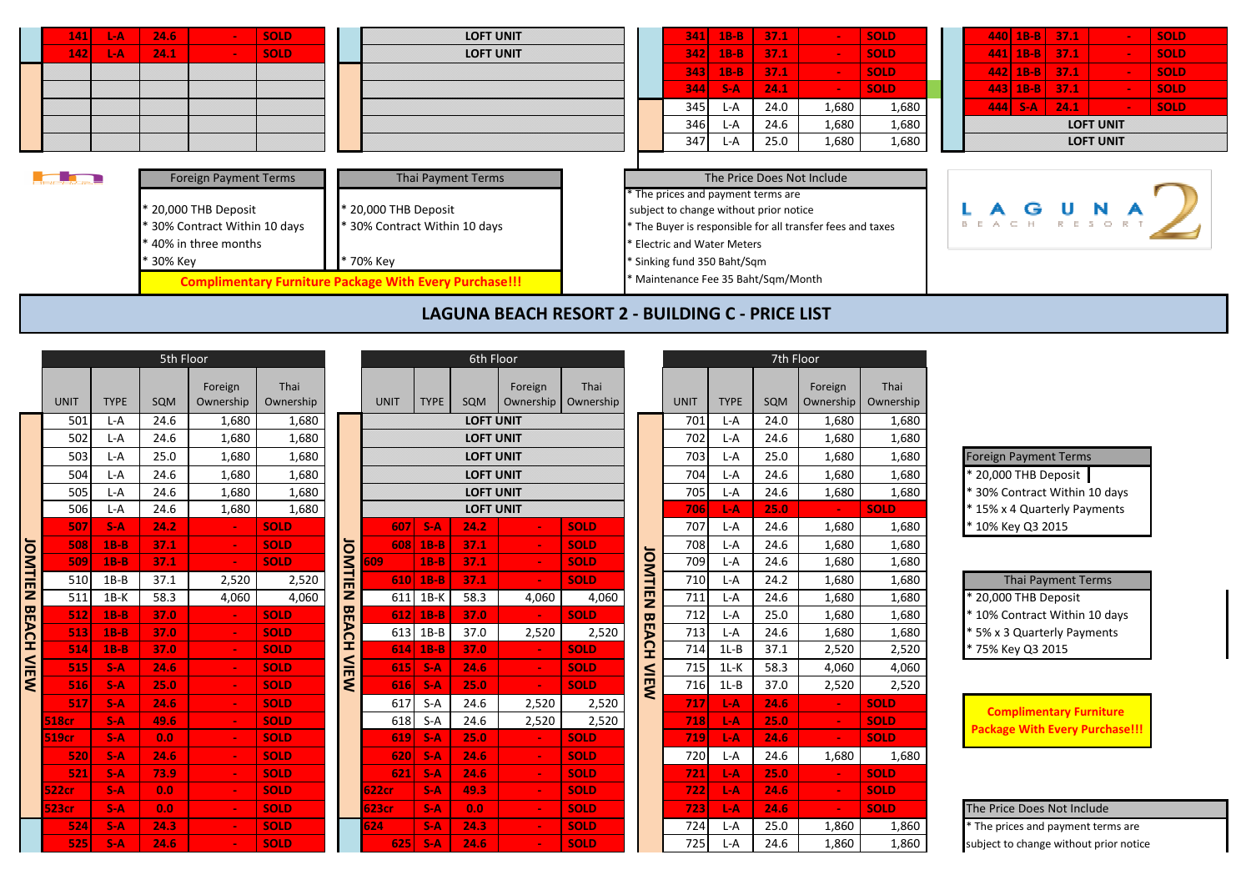| <b>L-A</b><br>141    | 24.6<br><b>SOLD</b>                                                                                                                  | <b>LOFT UNIT</b>                                                                                                                                          | 37.1<br>$341$ 1B-B<br><b>SOLD</b><br>$\blacksquare$                                                                                                                                                                                                                           | $440 \mid 1B-B \mid 37.1$<br><b>SOLD</b><br>$\sim$ $^{-1}$ |
|----------------------|--------------------------------------------------------------------------------------------------------------------------------------|-----------------------------------------------------------------------------------------------------------------------------------------------------------|-------------------------------------------------------------------------------------------------------------------------------------------------------------------------------------------------------------------------------------------------------------------------------|------------------------------------------------------------|
| 142<br>L-A           | 24.1<br><b>SOLD</b><br>$\sim$                                                                                                        | <b>LOFT UNIT</b>                                                                                                                                          | 342<br>$1B-B$<br>37.1<br><b>SOLD</b><br>$\sim$                                                                                                                                                                                                                                | $441$ 1B-B 37.1<br><b>SOLD</b><br>$\sim$                   |
|                      |                                                                                                                                      |                                                                                                                                                           | 37.1<br>343<br>$1B-B$<br><b>SOLD</b>                                                                                                                                                                                                                                          | $442$ 1B-B 37.1<br><b>SOLD</b>                             |
|                      |                                                                                                                                      |                                                                                                                                                           | <b>SOLD</b><br>344<br>$S-A$<br>24.1<br>$\sim$ $\sim$                                                                                                                                                                                                                          | 37.1<br>$443$   1B-B<br><b>SOLD</b><br>$\sim$              |
|                      |                                                                                                                                      |                                                                                                                                                           | 24.0<br>1,680<br>345<br>1,680<br>L-A                                                                                                                                                                                                                                          | $444$ S-A<br>24.1<br><b>SOLD</b><br><b>College</b>         |
|                      |                                                                                                                                      |                                                                                                                                                           | 346<br>24.6<br>1,680<br>1,680<br>L-A                                                                                                                                                                                                                                          | <b>LOFT UNIT</b>                                           |
|                      |                                                                                                                                      |                                                                                                                                                           | 347<br>25.0<br>1,680<br>1,680<br>L-A                                                                                                                                                                                                                                          | <b>LOFT UNIT</b>                                           |
| <u> Landers and </u> | <b>Foreign Payment Terms</b><br>* 20,000 THB Deposit<br>30% Contract Within 10 days<br>* 40% in three months<br><sup>8</sup> 30% Key | Thai Payment Terms<br>* 20,000 THB Deposit<br>* 30% Contract Within 10 days<br>* 70% Key<br><b>Complimentary Furniture Package With Every Purchase!!!</b> | The Price Does Not Include<br>* The prices and payment terms are<br>subject to change without prior notice<br>* The Buyer is responsible for all transfer fees and taxes<br>* Electric and Water Meters<br>* Sinking fund 350 Baht/Sqm<br>* Maintenance Fee 35 Baht/Sqm/Month | <b>LAGUNA</b>                                              |
|                      |                                                                                                                                      |                                                                                                                                                           | LAGUNA BEACH RESORT 2 - BUILDING C - PRICE LIST                                                                                                                                                                                                                               |                                                            |

|                    |              |             | 5th Floor |                      |                   |              |              |             | 6th Floor        |                      |                   |                         |             |             | 7th Floor  |                      |             |
|--------------------|--------------|-------------|-----------|----------------------|-------------------|--------------|--------------|-------------|------------------|----------------------|-------------------|-------------------------|-------------|-------------|------------|----------------------|-------------|
|                    | <b>UNIT</b>  | <b>TYPE</b> | SQM       | Foreign<br>Ownership | Thai<br>Ownership |              | <b>UNIT</b>  | <b>TYPE</b> | SQM              | Foreign<br>Ownership | Thai<br>Ownership |                         | <b>UNIT</b> | <b>TYPE</b> | <b>SQM</b> | Foreign<br>Ownership | Th<br>Owne  |
|                    | 501          | $L-A$       | 24.6      | 1.680                | 1,680             |              |              |             | <b>LOFT UNIT</b> |                      |                   |                         | 701         | $L-A$       | 24.0       | 1,680                |             |
|                    | 502          | $L-A$       | 24.6      | 1,680                | 1,680             |              |              |             | <b>LOFT UNIT</b> |                      |                   |                         | 702         | $L-A$       | 24.6       | 1,680                |             |
|                    | 503          | $L-A$       | 25.0      | 1,680                | 1,680             |              |              |             | <b>LOFT UNIT</b> |                      |                   |                         | 703         | $L-A$       | 25.0       | 1,680                |             |
|                    | 504          | $L-A$       | 24.6      | 1.680                | 1.680             |              |              |             | <b>LOFT UNIT</b> |                      |                   |                         | 704         | L-A         | 24.6       | 1.680                |             |
|                    | 505          | $L - A$     | 24.6      | 1,680                | 1,680             |              |              |             | <b>LOFT UNIT</b> |                      |                   |                         | 705         | $L-A$       | 24.6       | 1,680                |             |
|                    | 506          | $L-A$       | 24.6      | 1.680                | 1,680             |              |              |             | <b>LOFT UNIT</b> |                      |                   |                         | 706         | L-A         | 25.0       | $\sim$               | <b>SOLD</b> |
| JOMTIEN BEACH VIEW | 507          | $S-A$       | 24.2      | $\blacksquare$       | <b>SOLD</b>       |              | 607          | $S-A$       | 24.2             | $\blacksquare$       | <b>SOLD</b>       |                         | 707         | L-A         | 24.6       | 1,680                |             |
|                    | 508          | $1B-B$      | 37.1      | $\blacksquare$       | <b>SOLD</b>       |              | 608          | $1B-B$      | 37.1             | $\blacksquare$       | <b>SOLD</b>       |                         | 708         | $L-A$       | 24.6       | 1,680                |             |
|                    | 509          | $1B-B$      | 37.1      | $\sim$               | <b>SOLD</b>       |              | 609          | $1B-B$      | 37.1             | $\blacksquare$       | <b>SOLD</b>       |                         | 709         | $L-A$       | 24.6       | 1,680                |             |
|                    | 510          | $1B-B$      | 37.1      | 2,520                | 2,520             | JOMTIE       | <b>610</b>   | $1B-B$      | 37.1             | $\blacksquare$       | <b>SOLD</b>       | <b>ITMOL</b>            | 710         | $L-A$       | 24.2       | 1,680                |             |
|                    | 511          | $1B-K$      | 58.3      | 4,060                | 4,060             | z            | 611          | $1B-K$      | 58.3             | 4,060                | 4,060             | 巴                       | 711         | $L-A$       | 24.6       | 1,680                |             |
|                    | 512          | $1B-B$      | 37.0      | $\blacksquare$       | <b>SOLD</b>       | <b>BEACH</b> | 612          | $1B-B$      | 37.0             | $\blacksquare$       | <b>SOLD</b>       | $\mathbf{\overline{u}}$ | 712         | $L-A$       | 25.0       | 1,680                |             |
|                    | 513          | $1B-B$      | 37.0      | $\blacksquare$       | <b>SOLD</b>       |              | 613          | $1B-B$      | 37.0             | 2,520                | 2,520             | Ë                       | 713         | $L-A$       | 24.6       | 1,680                |             |
|                    | 514          | $1B-B$      | 37.0      | $\blacksquare$       | <b>SOLD</b>       |              | 614          | $1B-B$      | 37.0             | $\blacksquare$       | <b>SOLD</b>       | <u>مَ</u>               | 714         | $1L-B$      | 37.1       | 2,520                |             |
|                    | 515          | $S-A$       | 24.6      | $\blacksquare$       | <b>SOLD</b>       | $\leq$       | 615          | $S-A$       | 24.6             | $\sim$               | <b>SOLD</b>       |                         | 715         | $1L-K$      | 58.3       | 4,060                |             |
|                    | 516          | $S-A$       | 25.0      | $\blacksquare$       | <b>SOLD</b>       | ξ            | 616          | $S-A$       | 25.0             | $\blacksquare$       | <b>SOLD</b>       | NIEW                    | 716         | $1L-B$      | 37.0       | 2,520                |             |
|                    | 517          | $S-A$       | 24.6      | $\blacksquare$       | <b>SOLD</b>       |              | 617          | $S-A$       | 24.6             | 2,520                | 2,520             |                         | 717         | L-A         | 24.6       | $\blacksquare$       | <b>SOLD</b> |
|                    | <b>518cr</b> | $S-A$       | 49.6      | $\blacksquare$       | <b>SOLD</b>       |              | 618          | $S-A$       | 24.6             | 2,520                | 2,520             |                         | 718         | L-A         | 25.0       | $\sim$               | <b>SOLD</b> |
|                    | <b>519cr</b> | $S-A$       | 0.0       | $\blacksquare$       | <b>SOLD</b>       |              | 619          | $S-A$       | 25.0             | $\blacksquare$       | <b>SOLD</b>       |                         | 719         | L-A         | 24.6       | $\sim$               | <b>SOLD</b> |
|                    | 520          | $S-A$       | 24.6      | $\blacksquare$       | <b>SOLD</b>       |              | 620          | $S-A$       | 24.6             | $\blacksquare$       | <b>SOLD</b>       |                         | 720         | $L-A$       | 24.6       | 1,680                |             |
|                    | 521          | $S-A$       | 73.9      | $\blacksquare$       | <b>SOLD</b>       |              | 621          | $S-A$       | 24.6             | $\blacksquare$       | <b>SOLD</b>       |                         | 721         | L-A         | 25.0       | $\blacksquare$       | <b>SOLD</b> |
|                    | <b>522cr</b> | $S-A$       | 0.0       | $\blacksquare$       | <b>SOLD</b>       |              | <b>622cr</b> | $S-A$       | 49.3             | $\blacksquare$       | <b>SOLD</b>       |                         | 722         | L-A         | 24.6       | $\sim$               | <b>SOLD</b> |
|                    | <b>523cr</b> | $S-A$       | 0.0       | $\blacksquare$       | <b>SOLD</b>       |              | 623cr        | $S-A$       | 0.0              | $\blacksquare$       | <b>SOLD</b>       |                         | 723         | L-A         | 24.6       | ÷.                   | <b>SOLD</b> |
|                    | 524          | $S-A$       | 24.3      | $\blacksquare$       | <b>SOLD</b>       |              | 624          | $S-A$       | 24.3             | $\blacksquare$       | <b>SOLD</b>       |                         | 724         | L-A         | 25.0       | 1,860                |             |
|                    | 525          | $S-A$       | 24.6      |                      | <b>SOLD</b>       |              | 625          | $S-A$       | 24.6             |                      | <b>SOLD</b>       |                         | 725         | L-A         | 24.6       | 1,860                |             |

|     | 5th Floor   |      |                      |                   |                |             | 6th Floor   |                  |                      |                   |                       |             | 7th Floor   |      |                      |                   |                                    |
|-----|-------------|------|----------------------|-------------------|----------------|-------------|-------------|------------------|----------------------|-------------------|-----------------------|-------------|-------------|------|----------------------|-------------------|------------------------------------|
| IT  | <b>TYPE</b> | SQM  | Foreign<br>Ownership | Thai<br>Ownership |                | <b>UNIT</b> | <b>TYPE</b> | SQM              | Foreign<br>Ownership | Thai<br>Ownership |                       | <b>UNIT</b> | <b>TYPE</b> | SQM  | Foreign<br>Ownership | Thai<br>Ownership |                                    |
| 501 | L-A         | 24.6 | 1,680                | 1,680             |                |             |             | <b>LOFT UNIT</b> |                      |                   |                       | 701         | L-A         | 24.0 | 1,680                | 1,680             |                                    |
| 502 | $L-A$       | 24.6 | 1,680                | 1,680             |                |             |             | <b>LOFT UNIT</b> |                      |                   |                       | 702         | $L-A$       | 24.6 | 1,680                | 1,680             |                                    |
| 503 | $L-A$       | 25.0 | 1,680                | 1,680             |                |             |             | <b>LOFT UNIT</b> |                      |                   |                       | 703         | $L-A$       | 25.0 | 1,680                | 1,680             | <b>Foreign Payment Terms</b>       |
| 504 | $L-A$       | 24.6 | 1,680                | 1,680             |                |             |             | <b>LOFT UNIT</b> |                      |                   |                       | 704         | $L-A$       | 24.6 | 1,680                | 1,680             | 20,000 THB Deposit                 |
| 505 | L-A         | 24.6 | 1,680                | 1,680             |                |             |             | <b>LOFT UNIT</b> |                      |                   |                       | 705         | L-A         | 24.6 | 1,680                | 1,680             | 30% Contract Within 10 days        |
| 506 | L-A         | 24.6 | 1,680                | 1,680             |                |             |             | <b>LOFT UNIT</b> |                      |                   |                       | 706         | L-A         | 25.0 |                      | <b>SOLD</b>       | * 15% x 4 Quarterly Payments       |
| 507 | $S-A$       | 24.2 |                      | <b>SOLD</b>       |                | 607         | $S-A$       | 24.2             |                      | <b>SOLD</b>       |                       | 707         | L-A         | 24.6 | 1,680                | 1,680             | * 10% Key Q3 2015                  |
| 508 | $1B-B$      | 37.1 |                      | <b>SOLD</b>       |                | 608         | $1B-B$      | 37.1             |                      | <b>SOLD</b>       |                       | 708         | L-A         | 24.6 | 1,680                | 1,680             |                                    |
| 509 | $1B-B$      | 37.1 |                      | <b>SOLD</b>       |                | 609         | $1B-B$      | 37.1             |                      | <b>SOLD</b>       | JONTI                 | 709         | L-A         | 24.6 | 1,680                | 1,680             |                                    |
| 510 | $1B-B$      | 37.1 | 2,520                | 2,520             | <b>JOMTIEN</b> | 610         | $1B-B$      | 37.1             |                      | <b>SOLD</b>       |                       | 710         | L-A         | 24.2 | 1,680                | 1,680             | <b>Thai Payment Terms</b>          |
| 511 | $1B-K$      | 58.3 | 4,060                | 4,060             |                | 611         | $1B-K$      | 58.3             | 4.060                | 4,060             | 亮                     | 711         | $L-A$       | 24.6 | 1,680                | 1,680             | 20,000 THB Deposit                 |
|     | $1B-B$      | 37.0 |                      | <b>SOLD</b>       | <b>BEACH</b>   | 612         | $1B-B$      | 37.0             |                      | <b>SOLD</b>       | $\boldsymbol{\varpi}$ | 712         | L-A         | 25.0 | 1,680                | 1,680             | * 10% Contract Within 10 days      |
| 513 | $1B-B$      | 37.0 |                      | <b>SOLD</b>       |                | 613         | $1B-B$      | 37.0             | 2,520                | 2,520             | ፔ                     | 713         | L-A         | 24.6 | 1,680                | 1,680             | 5% x 3 Quarterly Payments          |
| 514 | $1B-B$      | 37.0 |                      | <b>SOLD</b>       |                | 614         | $1B-B$      | 37.0             |                      | <b>SOLD</b>       | 오                     | 714         | $1L-B$      | 37.1 | 2,520                | 2,520             | 75% Key Q3 2015                    |
|     | $S-A$       | 24.6 |                      | <b>SOLD</b>       | $\leq$         | 615         | $S-A$       | 24.6             |                      | <b>SOLD</b>       |                       | 715         | $1L-K$      | 58.3 | 4,060                | 4,060             |                                    |
| 516 | $S-A$       | 25.0 |                      | <b>SOLD</b>       | $\leq$         | 616         | $S-A$       | 25.0             | $\blacksquare$       | <b>SOLD</b>       | VIEW                  | 716         | $1L-B$      | 37.0 | 2,520                | 2,520             |                                    |
|     | $S-A$       | 24.6 |                      | <b>SOLD</b>       |                | 617         | $S-A$       | 24.6             | 2,520                | 2,520             |                       | 717         | $L-A$       | 24.6 | $\blacksquare$       | <b>SOLD</b>       | <b>Complimentary Furniture</b>     |
|     | $S-A$       | 49.6 |                      | <b>SOLD</b>       |                | 618         | $S-A$       | 24.6             | 2,520                | 2,520             |                       | 718         | L-A         | 25.0 | $\sim$               | <b>SOLD</b>       | <b>Package With Every Purchase</b> |
|     | $S-A$       | 0.0  |                      | <b>SOLD</b>       |                | 619         | $S-A$       | 25.0             |                      | <b>SOLD</b>       |                       | 719         | L-A         | 24.6 | $\sim$               | <b>SOLD</b>       |                                    |
| 520 | $S-A$       | 24.6 |                      | <b>SOLD</b>       |                | 620         | $S-A$       | 24.6             |                      | <b>SOLD</b>       |                       | 720         | L-A         | 24.6 | 1,680                | 1,680             |                                    |
| 521 | $S-A$       | 73.9 |                      | <b>SOLD</b>       |                | 621         | $S-A$       | 24.6             |                      | <b>SOLD</b>       |                       | 721         | $L-A$       | 25.0 | $\sim$               | <b>SOLD</b>       |                                    |
|     | $S-A$       | 0.0  |                      | <b>SOLD</b>       |                | 622cr       | $S-A$       | 49.3             |                      | <b>SOLD</b>       |                       | 722         | $L-A$       | 24.6 | $\sim$               | <b>SOLD</b>       |                                    |
|     | $S-A$       | 0.0  |                      | <b>SOLD</b>       |                | 623cr       | $S-A$       | 0.0              |                      | <b>SOLD</b>       |                       | 723         | $L-A$       | 24.6 | $\blacksquare$       | <b>SOLD</b>       | The Price Does Not Include         |
| 524 | $S-A$       | 24.3 |                      | <b>SOLD</b>       |                | 624         | $S-A$       | 24.3             |                      | <b>SOLD</b>       |                       | 724         | L-A         | 25.0 | 1,860                | 1,860             | * The prices and payment terms a   |
| 525 | $S-A$       | 24.6 |                      | <b>SOLD</b>       |                | 625         | $S-A$       | 24.6             |                      | <b>SOLD</b>       |                       | 725         | L-A         | 24.6 | 1.860                | 1.860             | subject to change without prior n  |

|                   |                          |             |             | 7th Floor |                      |                   |
|-------------------|--------------------------|-------------|-------------|-----------|----------------------|-------------------|
| Thai<br>Ownership |                          | <b>UNIT</b> | <b>TYPE</b> | SQM       | Foreign<br>Ownership | Thai<br>Ownership |
|                   |                          | 701         | L-A         | 24.0      | 1,680                | 1,680             |
|                   |                          | 702         | $L-A$       | 24.6      | 1,680                | 1,680             |
|                   |                          | 703         | L-A         | 25.0      | 1,680                | 1,680             |
|                   |                          | 704         | $L-A$       | 24.6      | 1,680                | 1,680             |
|                   |                          | 705         | $L-A$       | 24.6      | 1,680                | 1,680             |
|                   |                          | 706         | L-A         | 25.0      |                      | <b>SOLD</b>       |
| <b>SOLD</b>       |                          | 707         | L-A         | 24.6      | 1,680                | 1,680             |
| <b>SOLD</b>       |                          | 708         | L-A         | 24.6      | 1,680                | 1,680             |
| <b>SOLD</b>       |                          | 709         | $L-A$       | 24.6      | 1,680                | 1,680             |
| <b>SOLD</b>       |                          | 710         | L-A         | 24.2      | 1,680                | 1,680             |
| 4,060             |                          | 711         | $L-A$       | 24.6      | 1,680                | 1,680             |
| <b>SOLD</b>       |                          | 712         | L-A         | 25.0      | 1,680                | 1,680             |
| 2,520             |                          | 713         | L-A         | 24.6      | 1,680                | 1,680             |
| <b>SOLD</b>       |                          | 714         | $1L-B$      | 37.1      | 2,520                | 2,520             |
| <b>SOLD</b>       |                          | 715         | $1L-K$      | 58.3      | 4,060                | 4,060             |
| <b>SOLD</b>       | <b>OMTIEN BEACH VIEW</b> | 716         | $1L-B$      | 37.0      | 2,520                | 2,520             |
| 2,520             |                          | 717         | L-A         | 24.6      |                      | <b>SOLD</b>       |
| 2,520             |                          | 718         | L-A         | 25.0      |                      | <b>SOLD</b>       |
| <b>SOLD</b>       |                          | 719         | L-A         | 24.6      |                      | <b>SOLD</b>       |
| <b>SOLD</b>       |                          | 720         | L-A         | 24.6      | 1,680                | 1,680             |
| <b>SOLD</b>       |                          | 721         | $L-A$       | 25.0      |                      | <b>SOLD</b>       |
| <b>SOLD</b>       |                          | 722         | L-A         | 24.6      |                      | <b>SOLD</b>       |
| <b>SOLD</b>       |                          | 723         | L-A         | 24.6      |                      | <b>SOLD</b>       |
| <b>SOLD</b>       |                          | 724         | L-A         | 25.0      | 1,860                | 1,860             |
| <b>SOLD</b>       |                          | 725         | L-A         | 24.6      | 1,860                | 1,860             |
|                   |                          |             |             |           |                      |                   |

| <b>Foreign Payment Terms</b>  |
|-------------------------------|
| * 20,000 THB Deposit          |
| * 30% Contract Within 10 days |
| * 15% x 4 Quarterly Payments  |
| * 10% Key Q3 2015             |

| <b>Thai Payment Terms</b>     |
|-------------------------------|
| * 20,000 THB Deposit          |
| * 10% Contract Within 10 days |
| * 5% x 3 Quarterly Payments   |
| * 75% Key Q3 2015             |

**Complimentary Furniture Package With Every Purchase!!!**

## **523cr S-A 0.0 - SOLD 623cr S-A 0.0 - SOLD 723 L-A 24.6 - SOLD** The Price Does Not Include

**524 S-A 24.3 - SOLD 624 S-A 24.3 - SOLD** 724 L-A 25.0 1,860 1,860 \* The prices and payment terms are **525 S-A 24.6 - SOLD 625 S-A 24.6 - SOLD** 725 L-A 24.6 1,860 1,860 subject to change without prior notice